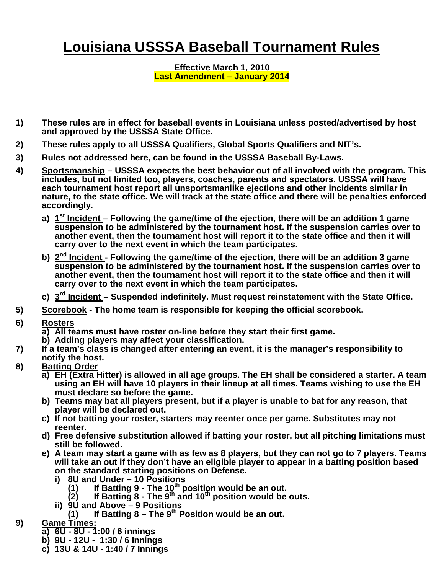## **Louisiana USSSA Baseball Tournament Rules**

## **Effective March 1, 2010 Last Amendment – January 2014**

- **1) These rules are in effect for baseball events in Louisiana unless posted/advertised by host and approved by the USSSA State Office.**
- **2) These rules apply to all USSSA Qualifiers, Global Sports Qualifiers and NIT's.**
- **3) Rules not addressed here, can be found in the USSSA Baseball By-Laws.**
- **4) Sportsmanship – USSSA expects the best behavior out of all involved with the program. This includes, but not limited too, players, coaches, parents and spectators. USSSA will have each tournament host report all unsportsmanlike ejections and other incidents similar in nature, to the state office. We will track at the state office and there will be penalties enforced accordingly.**
	- **a) 1 st Incident – Following the game/time of the ejection, there will be an addition 1 game suspension to be administered by the tournament host. If the suspension carries over to another event, then the tournament host will report it to the state office and then it will carry over to the next event in which the team participates.**
	- **b) 2 nd Incident - Following the game/time of the ejection, there will be an addition 3 game suspension to be administered by the tournament host. If the suspension carries over to another event, then the tournament host will report it to the state office and then it will carry over to the next event in which the team participates.**
	- **c) 3 rd Incident – Suspended indefinitely. Must request reinstatement with the State Office.**
- **5) Scorebook - The home team is responsible for keeping the official scorebook.**
- **6) Rosters**
	- **a) All teams must have roster on-line before they start their first game.**
	- **b) Adding players may affect your classification.**
- **7) If a team's class is changed after entering an event, it is the manager's responsibility to notify the host.**
- **8) Batting Order**
	- **a) EH (Extra Hitter) is allowed in all age groups. The EH shall be considered a starter. A team using an EH will have 10 players in their lineup at all times. Teams wishing to use the EH must declare so before the game.**
	- **b) Teams may bat all players present, but if a player is unable to bat for any reason, that player will be declared out.**
	- **c) If not batting your roster, starters may reenter once per game. Substitutes may not reenter.**
	- **d) Free defensive substitution allowed if batting your roster, but all pitching limitations must still be followed.**
	- **e) A team may start a game with as few as 8 players, but they can not go to 7 players. Teams will take an out if they don't have an eligible player to appear in a batting position based on the standard starting positions on Defense.**
		- **i) 8U and Under – 10 Positions**
			- **(1) If Batting 9 - The 10th position would be an out.**
			- **(2) If Batting 8 - The 9th and 10th position would be outs.**
		- **ii) 9U and Above – 9 Positions**
			- **(1) If Batting 8 – The 9th Position would be an out.**
- **9) Game Times:**
	- **a) 6U - 8U - 1:00 / 6 innings**
	- **b) 9U - 12U 1:30 / 6 Innings**
	- **c) 13U & 14U - 1:40 / 7 Innings**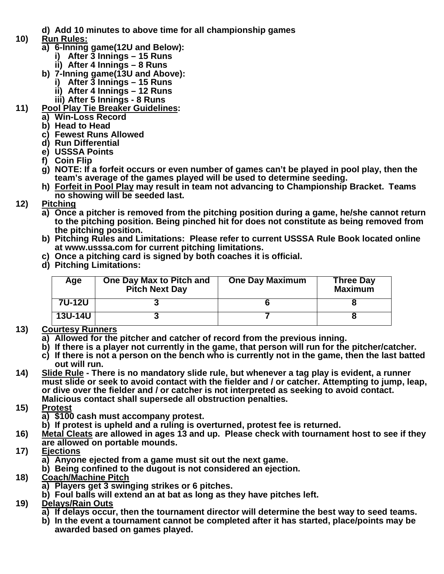- **d) Add 10 minutes to above time for all championship games**
- **10) Run Rules:**
	- **a) 6-Inning game(12U and Below):**
		- **i) After 3 Innings – 15 Runs**
		- **ii) After 4 Innings – 8 Runs**
	- **b) 7-Inning game(13U and Above):**
		- **i) After 3 Innings – 15 Runs**
		- **ii) After 4 Innings – 12 Runs**
		- **iii) After 5 Innings - 8 Runs**
- **11) Pool Play Tie Breaker Guidelines:**
	- **a) Win-Loss Record**
	- **b) Head to Head**
	- **c) Fewest Runs Allowed**
	- **d) Run Differential**
	- **e) USSSA Points**
	- **f) Coin Flip**
	- **g) NOTE: If a forfeit occurs or even number of games can't be played in pool play, then the team's average of the games played will be used to determine seeding.**
	- **h) Forfeit in Pool Play may result in team not advancing to Championship Bracket. Teams no showing will be seeded last.**
- **12) Pitching**
	- **a) Once a pitcher is removed from the pitching position during a game, he/she cannot return to the pitching position. Being pinched hit for does not constitute as being removed from the pitching position.**
	- **b) Pitching Rules and Limitations: Please refer to current USSSA Rule Book located online at www.usssa.com for current pitching limitations.**
	- **c) Once a pitching card is signed by both coaches it is official.**
	- **d) Pitching Limitations:**

| Age            | One Day Max to Pitch and<br><b>Pitch Next Day</b> | <b>One Day Maximum</b> | <b>Three Day</b><br><b>Maximum</b> |
|----------------|---------------------------------------------------|------------------------|------------------------------------|
| 7U-12U         |                                                   |                        |                                    |
| <b>13U-14U</b> |                                                   |                        |                                    |

## **13) Courtesy Runners**

- **a) Allowed for the pitcher and catcher of record from the previous inning.**
- **b) If there is a player not currently in the game, that person will run for the pitcher/catcher.**
- **c) If there is not a person on the bench who is currently not in the game, then the last batted out will run.**
- **14) Slide Rule - There is no mandatory slide rule, but whenever a tag play is evident, a runner must slide or seek to avoid contact with the fielder and / or catcher. Attempting to jump, leap, or dive over the fielder and / or catcher is not interpreted as seeking to avoid contact. Malicious contact shall supersede all obstruction penalties.**
- **15) Protest**
	- **a) \$100 cash must accompany protest.**
	- **b) If protest is upheld and a ruling is overturned, protest fee is returned.**
- **16) Metal Cleats are allowed in ages 13 and up. Please check with tournament host to see if they are allowed on portable mounds.**
- **17) Ejections**
	- **a) Anyone ejected from a game must sit out the next game.**
	- **b) Being confined to the dugout is not considered an ejection.**
- **18) Coach/Machine Pitch**
	- **a) Players get 3 swinging strikes or 6 pitches.**
	- **b) Foul balls will extend an at bat as long as they have pitches left.**
- **19) Delays/Rain Outs**
	- **a) If delays occur, then the tournament director will determine the best way to seed teams.**
	- **b) In the event a tournament cannot be completed after it has started, place/points may be awarded based on games played.**